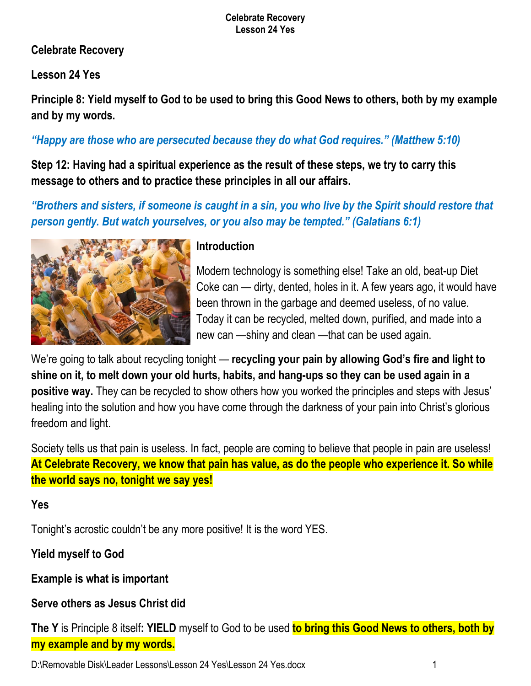**Celebrate Recovery**

**Lesson 24 Yes**

**Principle 8: Yield myself to God to be used to bring this Good News to others, both by my example and by my words.** 

# *"Happy are those who are persecuted because they do what God requires." (Matthew 5:10)*

**Step 12: Having had a spiritual experience as the result of these steps, we try to carry this message to others and to practice these principles in all our affairs.** 

*"Brothers and sisters, if someone is caught in a sin, you who live by the Spirit should restore that person gently. But watch yourselves, or you also may be tempted." (Galatians 6:1)* 



### **Introduction**

Modern technology is something else! Take an old, beat-up Diet Coke can — dirty, dented, holes in it. A few years ago, it would have been thrown in the garbage and deemed useless, of no value. Today it can be recycled, melted down, purified, and made into a new can —shiny and clean —that can be used again.

We're going to talk about recycling tonight — **recycling your pain by allowing God's fire and light to shine on it, to melt down your old hurts, habits, and hang-ups so they can be used again in a positive way.** They can be recycled to show others how you worked the principles and steps with Jesus' healing into the solution and how you have come through the darkness of your pain into Christ's glorious freedom and light.

Society tells us that pain is useless. In fact, people are coming to believe that people in pain are useless! **At Celebrate Recovery, we know that pain has value, as do the people who experience it. So while the world says no, tonight we say yes!**

**Yes** 

Tonight's acrostic couldn't be any more positive! It is the word YES.

**Yield myself to God** 

**Example is what is important** 

**Serve others as Jesus Christ did** 

**The Y** is Principle 8 itself**: YIELD** myself to God to be used **to bring this Good News to others, both by my example and by my words.**

D:\Removable Disk\Leader Lessons\Lesson 24 Yes\Lesson 24 Yes.docx 1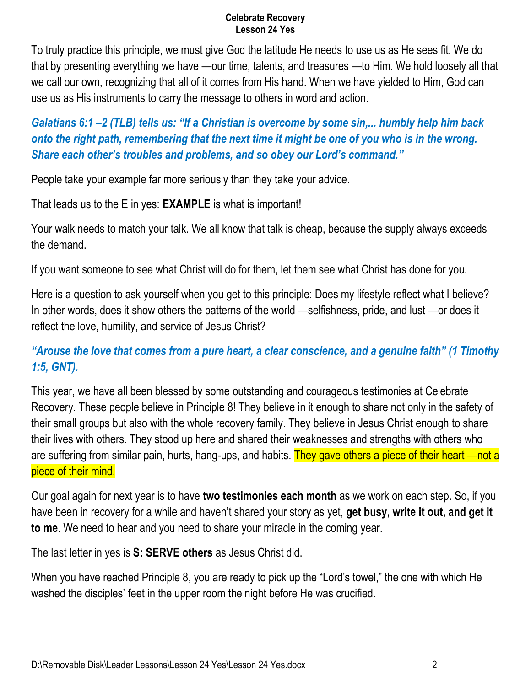#### **Celebrate Recovery Lesson 24 Yes**

To truly practice this principle, we must give God the latitude He needs to use us as He sees fit. We do that by presenting everything we have —our time, talents, and treasures —to Him. We hold loosely all that we call our own, recognizing that all of it comes from His hand. When we have yielded to Him, God can use us as His instruments to carry the message to others in word and action.

## *Galatians 6:1 –2 (TLB) tells us: "If a Christian is overcome by some sin,... humbly help him back onto the right path, remembering that the next time it might be one of you who is in the wrong. Share each other's troubles and problems, and so obey our Lord's command."*

People take your example far more seriously than they take your advice.

That leads us to the E in yes: **EXAMPLE** is what is important!

Your walk needs to match your talk. We all know that talk is cheap, because the supply always exceeds the demand.

If you want someone to see what Christ will do for them, let them see what Christ has done for you.

Here is a question to ask yourself when you get to this principle: Does my lifestyle reflect what I believe? In other words, does it show others the patterns of the world —selfishness, pride, and lust —or does it reflect the love, humility, and service of Jesus Christ?

# *"Arouse the love that comes from a pure heart, a clear conscience, and a genuine faith" (1 Timothy 1:5, GNT).*

This year, we have all been blessed by some outstanding and courageous testimonies at Celebrate Recovery. These people believe in Principle 8! They believe in it enough to share not only in the safety of their small groups but also with the whole recovery family. They believe in Jesus Christ enough to share their lives with others. They stood up here and shared their weaknesses and strengths with others who are suffering from similar pain, hurts, hang-ups, and habits. They gave others a piece of their heart —not a piece of their mind.

Our goal again for next year is to have **two testimonies each month** as we work on each step. So, if you have been in recovery for a while and haven't shared your story as yet, **get busy, write it out, and get it to me**. We need to hear and you need to share your miracle in the coming year.

The last letter in yes is **S: SERVE others** as Jesus Christ did.

When you have reached Principle 8, you are ready to pick up the "Lord's towel," the one with which He washed the disciples' feet in the upper room the night before He was crucified.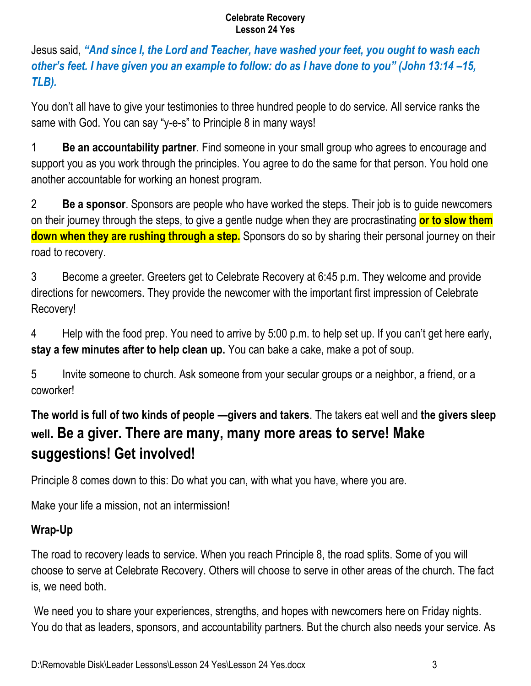#### **Celebrate Recovery Lesson 24 Yes**

Jesus said, *"And since I, the Lord and Teacher, have washed your feet, you ought to wash each other's feet. I have given you an example to follow: do as I have done to you" (John 13:14 –15, TLB).* 

You don't all have to give your testimonies to three hundred people to do service. All service ranks the same with God. You can say "y-e-s" to Principle 8 in many ways!

1 **Be an accountability partner**. Find someone in your small group who agrees to encourage and support you as you work through the principles. You agree to do the same for that person. You hold one another accountable for working an honest program.

2 **Be a sponsor**. Sponsors are people who have worked the steps. Their job is to guide newcomers on their journey through the steps, to give a gentle nudge when they are procrastinating **or to slow them down when they are rushing through a step.** Sponsors do so by sharing their personal journey on their road to recovery.

3 Become a greeter. Greeters get to Celebrate Recovery at 6:45 p.m. They welcome and provide directions for newcomers. They provide the newcomer with the important first impression of Celebrate Recovery!

4 Help with the food prep. You need to arrive by 5:00 p.m. to help set up. If you can't get here early, **stay a few minutes after to help clean up.** You can bake a cake, make a pot of soup.

5 Invite someone to church. Ask someone from your secular groups or a neighbor, a friend, or a coworker!

# **The world is full of two kinds of people —givers and takers**. The takers eat well and **the givers sleep well. Be a giver. There are many, many more areas to serve! Make suggestions! Get involved!**

Principle 8 comes down to this: Do what you can, with what you have, where you are.

Make your life a mission, not an intermission!

## **Wrap-Up**

The road to recovery leads to service. When you reach Principle 8, the road splits. Some of you will choose to serve at Celebrate Recovery. Others will choose to serve in other areas of the church. The fact is, we need both.

We need you to share your experiences, strengths, and hopes with newcomers here on Friday nights. You do that as leaders, sponsors, and accountability partners. But the church also needs your service. As